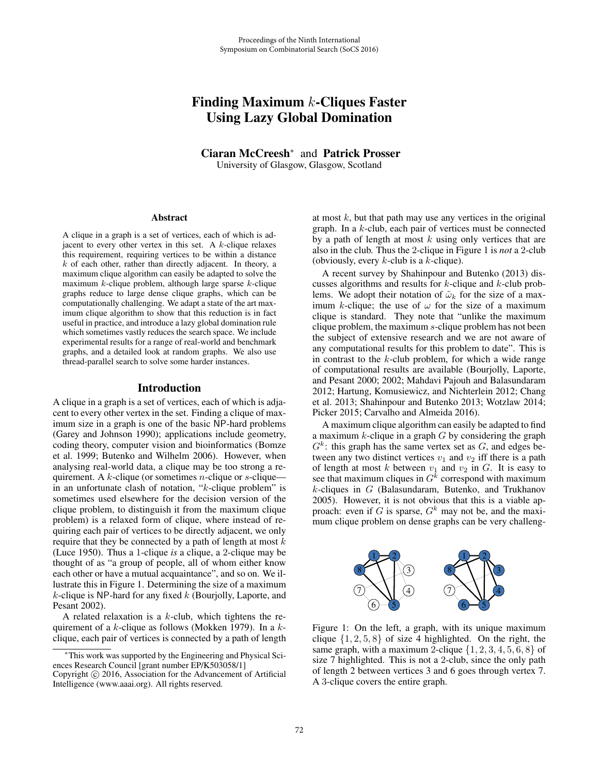# Finding Maximum  $k$ -Cliques Faster Using Lazy Global Domination

Ciaran McCreesh<sup>∗</sup> and Patrick Prosser University of Glasgow, Glasgow, Scotland

#### **Abstract**

A clique in a graph is a set of vertices, each of which is adjacent to every other vertex in this set. A  $k$ -clique relaxes this requirement, requiring vertices to be within a distance  $k$  of each other, rather than directly adjacent. In theory, a maximum clique algorithm can easily be adapted to solve the maximum  $k$ -clique problem, although large sparse  $k$ -clique graphs reduce to large dense clique graphs, which can be computationally challenging. We adapt a state of the art maximum clique algorithm to show that this reduction is in fact useful in practice, and introduce a lazy global domination rule which sometimes vastly reduces the search space. We include experimental results for a range of real-world and benchmark graphs, and a detailed look at random graphs. We also use thread-parallel search to solve some harder instances.

#### Introduction

A clique in a graph is a set of vertices, each of which is adjacent to every other vertex in the set. Finding a clique of maximum size in a graph is one of the basic NP-hard problems (Garey and Johnson 1990); applications include geometry, coding theory, computer vision and bioinformatics (Bomze et al. 1999; Butenko and Wilhelm 2006). However, when analysing real-world data, a clique may be too strong a requirement. A  $k$ -clique (or sometimes *n*-clique or *s*-clique in an unfortunate clash of notation, "k-clique problem" is sometimes used elsewhere for the decision version of the clique problem, to distinguish it from the maximum clique problem) is a relaxed form of clique, where instead of requiring each pair of vertices to be directly adjacent, we only require that they be connected by a path of length at most  $k$ (Luce 1950). Thus a 1-clique *is* a clique, a 2-clique may be thought of as "a group of people, all of whom either know each other or have a mutual acquaintance", and so on. We illustrate this in Figure 1. Determining the size of a maximum  $k$ -clique is NP-hard for any fixed  $k$  (Bourjolly, Laporte, and Pesant 2002).

A related relaxation is a  $k$ -club, which tightens the requirement of a k-clique as follows (Mokken 1979). In a  $k$ clique, each pair of vertices is connected by a path of length at most  $k$ , but that path may use any vertices in the original graph. In a k-club, each pair of vertices must be connected by a path of length at most  $k$  using only vertices that are also in the club. Thus the 2-clique in Figure 1 is *not* a 2-club (obviously, every  $k$ -club is a  $k$ -clique).

A recent survey by Shahinpour and Butenko (2013) discusses algorithms and results for k-clique and k-club problems. We adopt their notation of  $\tilde{\omega}_k$  for the size of a maximum k-clique; the use of  $\omega$  for the size of a maximum clique is standard. They note that "unlike the maximum clique problem, the maximum s-clique problem has not been the subject of extensive research and we are not aware of any computational results for this problem to date". This is in contrast to the  $k$ -club problem, for which a wide range of computational results are available (Bourjolly, Laporte, and Pesant 2000; 2002; Mahdavi Pajouh and Balasundaram 2012; Hartung, Komusiewicz, and Nichterlein 2012; Chang et al. 2013; Shahinpour and Butenko 2013; Wotzlaw 2014; Picker 2015; Carvalho and Almeida 2016).

A maximum clique algorithm can easily be adapted to find a maximum  $k$ -clique in a graph  $G$  by considering the graph  $G<sup>k</sup>$ : this graph has the same vertex set as G, and edges between any two distinct vertices  $v_1$  and  $v_2$  iff there is a path of length at most  $k$  between  $v_1$  and  $v_2$  in  $G$ . It is easy to see that maximum cliques in  $G<sup>k</sup>$  correspond with maximum  $k$ -cliques in  $G$  (Balasundaram, Butenko, and Trukhanov 2005). However, it is not obvious that this is a viable approach: even if G is sparse,  $G<sup>k</sup>$  may not be, and the maximum clique problem on dense graphs can be very challeng-



Figure 1: On the left, a graph, with its unique maximum clique  $\{1, 2, 5, 8\}$  of size 4 highlighted. On the right, the same graph, with a maximum 2-clique  $\{1, 2, 3, 4, 5, 6, 8\}$  of size 7 highlighted. This is not a 2-club, since the only path of length 2 between vertices 3 and 6 goes through vertex 7. A 3-clique covers the entire graph.

<sup>∗</sup>This work was supported by the Engineering and Physical Sciences Research Council [grant number EP/K503058/1]

Copyright  $\odot$  2016, Association for the Advancement of Artificial Intelligence (www.aaai.org). All rights reserved.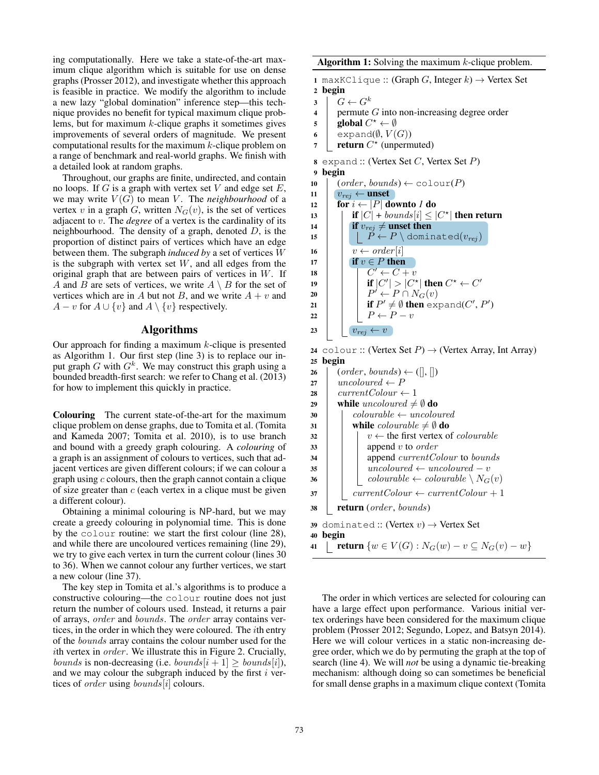ing computationally. Here we take a state-of-the-art maximum clique algorithm which is suitable for use on dense graphs (Prosser 2012), and investigate whether this approach is feasible in practice. We modify the algorithm to include a new lazy "global domination" inference step—this technique provides no benefit for typical maximum clique problems, but for maximum  $k$ -clique graphs it sometimes gives improvements of several orders of magnitude. We present computational results for the maximum  $k$ -clique problem on a range of benchmark and real-world graphs. We finish with a detailed look at random graphs.

Throughout, our graphs are finite, undirected, and contain no loops. If  $G$  is a graph with vertex set  $V$  and edge set  $E$ , we may write  $V(G)$  to mean V. The *neighbourhood* of a vertex v in a graph  $G$ , written  $N_G(v)$ , is the set of vertices adjacent to v. The *degree* of a vertex is the cardinality of its neighbourhood. The density of a graph, denoted  $D$ , is the proportion of distinct pairs of vertices which have an edge between them. The subgraph *induced by* a set of vertices W is the subgraph with vertex set  $W$ , and all edges from the original graph that are between pairs of vertices in  $W$ . If A and B are sets of vertices, we write  $A \setminus B$  for the set of vertices which are in A but not B, and we write  $A + v$  and  $A - v$  for  $A \cup \{v\}$  and  $A \setminus \{v\}$  respectively.

## Algorithms

Our approach for finding a maximum  $k$ -clique is presented as Algorithm 1. Our first step (line 3) is to replace our input graph G with  $G<sup>k</sup>$ . We may construct this graph using a bounded breadth-first search: we refer to Chang et al. (2013) for how to implement this quickly in practice.

Colouring The current state-of-the-art for the maximum clique problem on dense graphs, due to Tomita et al. (Tomita and Kameda 2007; Tomita et al. 2010), is to use branch and bound with a greedy graph colouring. A *colouring* of a graph is an assignment of colours to vertices, such that adjacent vertices are given different colours; if we can colour a graph using  $c$  colours, then the graph cannot contain a clique of size greater than  $c$  (each vertex in a clique must be given a different colour).

Obtaining a minimal colouring is NP-hard, but we may create a greedy colouring in polynomial time. This is done by the colour routine: we start the first colour (line 28), and while there are uncoloured vertices remaining (line 29), we try to give each vertex in turn the current colour (lines 30 to 36). When we cannot colour any further vertices, we start a new colour (line 37).

The key step in Tomita et al.'s algorithms is to produce a constructive colouring—the colour routine does not just return the number of colours used. Instead, it returns a pair of arrays, order and bounds. The order array contains vertices, in the order in which they were coloured. The ith entry of the bounds array contains the colour number used for the ith vertex in  $order$ . We illustrate this in Figure 2. Crucially, *bounds* is non-decreasing (i.e. *bounds*[ $i + 1$ ]  $\geq$  *bounds*[ $i$ ]), and we may colour the subgraph induced by the first  $i$  vertices of *order* using *bounds*[*i*] colours.

Algorithm 1: Solving the maximum  $k$ -clique problem.

1 maxKClique :: (Graph G, Integer  $k$ )  $\rightarrow$  Vertex Set 2 begin

- 
- $\begin{array}{c|c} 3 & G \leftarrow G^k \\ 4 & \text{permute} \end{array}$ permute  $G$  into non-increasing degree order
- 5 global  $C^* \leftarrow \emptyset$
- 6 expand( $\emptyset$ ,  $V(G)$ )<br>7 **return**  $C^*$  (unperm
- $7$  return  $C^*$  (unpermuted)
- 8 expand :: (Vertex Set  $C$ , Vertex Set  $P$ )
- 9 begin
- 10  $\vert$  (order, bounds)  $\leftarrow$  colour(P)

| 11 | $v_{rej} \leftarrow$ unset                           |
|----|------------------------------------------------------|
| 12 | for $i \leftarrow  P $ downto 1 do                   |
| 13 | if $ C $ + bounds $ i  \leq  C^* $ then return       |
| 14 | if $v_{rei} \neq$ unset then                         |
| 15 | $P \leftarrow P \setminus \text{dominated}(v_{rei})$ |
| 16 | $v \leftarrow order[i]$                              |
| 17 | if $v \in P$ then                                    |
| 18 | $C' \leftarrow C + v$                                |
| 19 | if $ C'  >  C^* $ then $C^* \leftarrow C'$           |
| 20 | $P' \leftarrow P \cap N_G(v)$                        |
| 21 | if $P' \neq \emptyset$ then expand(C', P')           |
| 22 | $P \leftarrow P - v$                                 |
| 23 | $v_{rej}$                                            |

24 colour :: (Vertex Set  $P$ )  $\rightarrow$  (Vertex Array, Int Array) <sup>25</sup> begin

| 26 | $(order, bounds) \leftarrow ([], [])$                            |
|----|------------------------------------------------------------------|
| 27 | uncoloured $\leftarrow P$                                        |
| 28 | $currentColor \leftarrow 1$                                      |
| 29 | while uncoloured $\neq \emptyset$ do                             |
| 30 | $colourable \leftarrow uncoloured$                               |
| 31 | while <i>colourable</i> $\neq \emptyset$ do                      |
| 32 | $v \leftarrow$ the first vertex of <i>colourable</i>             |
| 33 | append $v$ to <i>order</i>                                       |
| 34 | append <i>currentColour</i> to <i>bounds</i>                     |
| 35 | $uncoloured \leftarrow uncoloured - v$                           |
| 36 | $colourable \leftarrow colourable \setminus N_G(v)$              |
| 37 | $currentColor \leftarrow currentColor + 1$                       |
| 38 | <b>return</b> ( <i>order</i> , <i>bounds</i> )                   |
|    | 39 dominated: (Vertex $v$ ) $\rightarrow$ Vertex Set             |
| 40 | begin                                                            |
| 41 | <b>return</b> $\{w \in V(G) : N_G(w) - v \subseteq N_G(v) - w\}$ |
|    |                                                                  |

The order in which vertices are selected for colouring can have a large effect upon performance. Various initial vertex orderings have been considered for the maximum clique problem (Prosser 2012; Segundo, Lopez, and Batsyn 2014). Here we will colour vertices in a static non-increasing degree order, which we do by permuting the graph at the top of search (line 4). We will *not* be using a dynamic tie-breaking mechanism: although doing so can sometimes be beneficial for small dense graphs in a maximum clique context (Tomita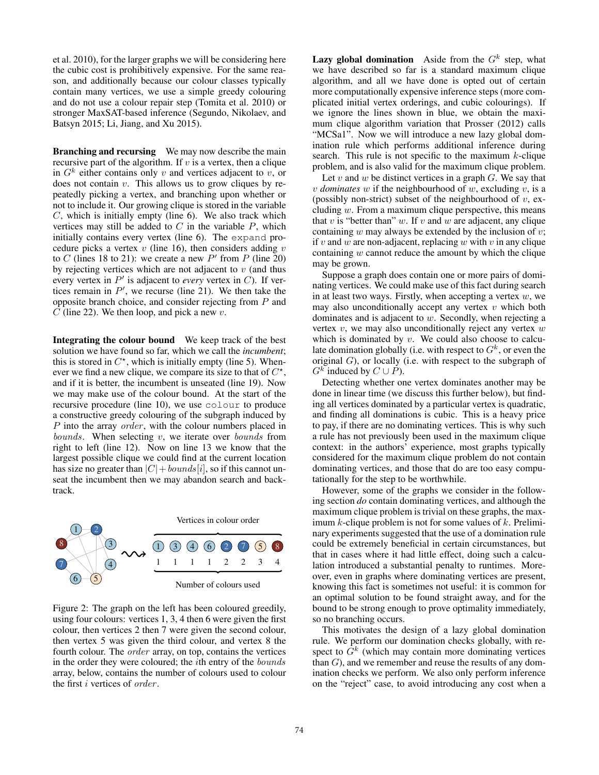et al. 2010), for the larger graphs we will be considering here the cubic cost is prohibitively expensive. For the same reason, and additionally because our colour classes typically contain many vertices, we use a simple greedy colouring and do not use a colour repair step (Tomita et al. 2010) or stronger MaxSAT-based inference (Segundo, Nikolaev, and Batsyn 2015; Li, Jiang, and Xu 2015).

Branching and recursing We may now describe the main recursive part of the algorithm. If  $v$  is a vertex, then a clique in  $G<sup>k</sup>$  either contains only v and vertices adjacent to v, or does not contain  $v$ . This allows us to grow cliques by repeatedly picking a vertex, and branching upon whether or not to include it. Our growing clique is stored in the variable  $C$ , which is initially empty (line 6). We also track which vertices may still be added to  $C$  in the variable  $P$ , which initially contains every vertex (line 6). The expand procedure picks a vertex  $v$  (line 16), then considers adding  $v$ to C (lines 18 to 21): we create a new  $P'$  from P (line 20) by rejecting vertices which are not adjacent to  $v$  (and thus every vertex in  $P'$  is adjacent to *every* vertex in  $C$ ). If vertices remain in  $P'$ , we recurse (line 21). We then take the opposite branch choice, and consider rejecting from P and C (line 22). We then loop, and pick a new  $v$ .

Integrating the colour bound We keep track of the best solution we have found so far, which we call the *incumbent*; this is stored in  $C^*$ , which is initially empty (line 5). Whenever we find a new clique, we compare its size to that of  $C^*$ , and if it is better, the incumbent is unseated (line 19). Now we may make use of the colour bound. At the start of the recursive procedure (line 10), we use colour to produce a constructive greedy colouring of the subgraph induced by P into the array *order*, with the colour numbers placed in  $bounds.$  When selecting  $v$ , we iterate over  $bounds$  from right to left (line 12). Now on line 13 we know that the largest possible clique we could find at the current location has size no greater than  $|C|+bounds[i]$ , so if this cannot unseat the incumbent then we may abandon search and backtrack.



Figure 2: The graph on the left has been coloured greedily, using four colours: vertices 1, 3, 4 then 6 were given the first colour, then vertices 2 then 7 were given the second colour, then vertex 5 was given the third colour, and vertex 8 the fourth colour. The order array, on top, contains the vertices in the order they were coloured; the ith entry of the bounds array, below, contains the number of colours used to colour the first *i* vertices of *order*.

**Lazy global domination** Aside from the  $G<sup>k</sup>$  step, what we have described so far is a standard maximum clique algorithm, and all we have done is opted out of certain more computationally expensive inference steps (more complicated initial vertex orderings, and cubic colourings). If we ignore the lines shown in blue, we obtain the maximum clique algorithm variation that Prosser (2012) calls "MCSa1". Now we will introduce a new lazy global domination rule which performs additional inference during search. This rule is not specific to the maximum  $k$ -clique problem, and is also valid for the maximum clique problem.

Let  $v$  and  $w$  be distinct vertices in a graph  $G$ . We say that  $v$  *dominates*  $w$  if the neighbourhood of  $w$ , excluding  $v$ , is a (possibly non-strict) subset of the neighbourhood of  $v$ , excluding  $w$ . From a maximum clique perspective, this means that  $v$  is "better than"  $w$ . If  $v$  and  $w$  are adjacent, any clique containing  $w$  may always be extended by the inclusion of  $v$ ; if v and w are non-adjacent, replacing w with v in any clique containing  $w$  cannot reduce the amount by which the clique may be grown.

Suppose a graph does contain one or more pairs of dominating vertices. We could make use of this fact during search in at least two ways. Firstly, when accepting a vertex  $w$ , we may also unconditionally accept any vertex  $v$  which both dominates and is adjacent to  $w$ . Secondly, when rejecting a vertex  $v$ , we may also unconditionally reject any vertex  $w$ which is dominated by  $v$ . We could also choose to calculate domination globally (i.e. with respect to  $G<sup>k</sup>$ , or even the original G), or locally (i.e. with respect to the subgraph of  $G^k$  induced by  $C \cup P$ ).

Detecting whether one vertex dominates another may be done in linear time (we discuss this further below), but finding all vertices dominated by a particular vertex is quadratic, and finding all dominations is cubic. This is a heavy price to pay, if there are no dominating vertices. This is why such a rule has not previously been used in the maximum clique context: in the authors' experience, most graphs typically considered for the maximum clique problem do not contain dominating vertices, and those that do are too easy computationally for the step to be worthwhile.

However, some of the graphs we consider in the following section *do* contain dominating vertices, and although the maximum clique problem is trivial on these graphs, the maximum  $k$ -clique problem is not for some values of  $k$ . Preliminary experiments suggested that the use of a domination rule could be extremely beneficial in certain circumstances, but that in cases where it had little effect, doing such a calculation introduced a substantial penalty to runtimes. Moreover, even in graphs where dominating vertices are present, knowing this fact is sometimes not useful: it is common for an optimal solution to be found straight away, and for the bound to be strong enough to prove optimality immediately, so no branching occurs.

This motivates the design of a lazy global domination rule. We perform our domination checks globally, with respect to  $\tilde{G}^k$  (which may contain more dominating vertices than  $G$ ), and we remember and reuse the results of any domination checks we perform. We also only perform inference on the "reject" case, to avoid introducing any cost when a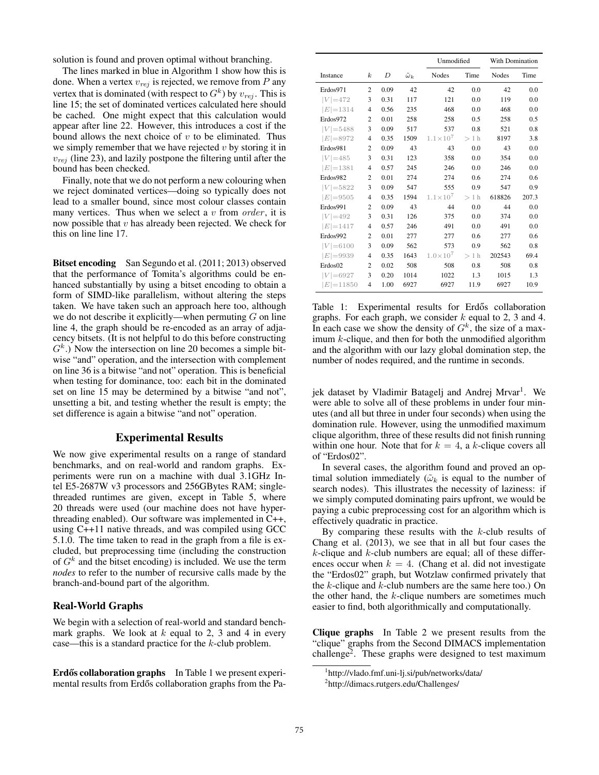solution is found and proven optimal without branching.

The lines marked in blue in Algorithm 1 show how this is done. When a vertex  $v_{rej}$  is rejected, we remove from P any vertex that is dominated (with respect to  $G^k$ ) by  $v_{rej}$ . This is line 15; the set of dominated vertices calculated here should be cached. One might expect that this calculation would appear after line 22. However, this introduces a cost if the bound allows the next choice of  $v$  to be eliminated. Thus we simply remember that we have rejected  $v$  by storing it in  $v_{rej}$  (line 23), and lazily postpone the filtering until after the bound has been checked.

Finally, note that we do not perform a new colouring when we reject dominated vertices—doing so typically does not lead to a smaller bound, since most colour classes contain many vertices. Thus when we select a  $v$  from *order*, it is now possible that  $v$  has already been rejected. We check for this on line line 17.

Bitset encoding San Segundo et al. (2011; 2013) observed that the performance of Tomita's algorithms could be enhanced substantially by using a bitset encoding to obtain a form of SIMD-like parallelism, without altering the steps taken. We have taken such an approach here too, although we do not describe it explicitly—when permuting  $G$  on line line 4, the graph should be re-encoded as an array of adjacency bitsets. (It is not helpful to do this before constructing  $G<sup>k</sup>$ .) Now the intersection on line 20 becomes a simple bitwise "and" operation, and the intersection with complement on line 36 is a bitwise "and not" operation. This is beneficial when testing for dominance, too: each bit in the dominated set on line 15 may be determined by a bitwise "and not", unsetting a bit, and testing whether the result is empty; the set difference is again a bitwise "and not" operation.

# Experimental Results

We now give experimental results on a range of standard benchmarks, and on real-world and random graphs. Experiments were run on a machine with dual 3.1GHz Intel E5-2687W v3 processors and 256GBytes RAM; singlethreaded runtimes are given, except in Table 5, where 20 threads were used (our machine does not have hyperthreading enabled). Our software was implemented in C++, using C++11 native threads, and was compiled using GCC 5.1.0. The time taken to read in the graph from a file is excluded, but preprocessing time (including the construction of  $G<sup>k</sup>$  and the bitset encoding) is included. We use the term *nodes* to refer to the number of recursive calls made by the branch-and-bound part of the algorithm.

# Real-World Graphs

We begin with a selection of real-world and standard benchmark graphs. We look at  $k$  equal to 2, 3 and 4 in every case—this is a standard practice for the k-club problem.

Erdős collaboration graphs In Table 1 we present experimental results from Erdős collaboration graphs from the Pa-

|              |                  |      |                    |                     | Unmodified |              | With Domination |
|--------------|------------------|------|--------------------|---------------------|------------|--------------|-----------------|
| Instance     | $\boldsymbol{k}$ | D    | $\tilde{\omega}_k$ | <b>Nodes</b>        | Time       | <b>Nodes</b> | Time            |
| Erdos971     | 2                | 0.09 | 42                 | 42                  | 0.0        | 42           | 0.0             |
| $ V  = 472$  | 3                | 0.31 | 117                | 121                 | 0.0        | 119          | 0.0             |
| $ E =1314$   | $\overline{4}$   | 0.56 | 235                | 468                 | 0.0        | 468          | 0.0             |
| Erdos972     | $\overline{c}$   | 0.01 | 258                | 258                 | 0.5        | 258          | 0.5             |
| $ V  = 5488$ | 3                | 0.09 | 517                | 537                 | 0.8        | 521          | 0.8             |
| $ E =8972$   | $\overline{4}$   | 0.35 | 1509               | $1.1 \times 10^{7}$ | >1 h       | 8197         | 3.8             |
| Erdos981     | $\overline{c}$   | 0.09 | 43                 | 43                  | 0.0        | 43           | 0.0             |
| $ V  = 485$  | 3                | 0.31 | 123                | 358                 | 0.0        | 354          | 0.0             |
| $E  = 1381$  | $\overline{4}$   | 0.57 | 245                | 246                 | 0.0        | 246          | 0.0             |
| Erdos982     | $\overline{c}$   | 0.01 | 274                | 274                 | 0.6        | 274          | 0.6             |
| $ V  = 5822$ | 3                | 0.09 | 547                | 555                 | 0.9        | 547          | 0.9             |
| $E  = 9505$  | $\overline{4}$   | 0.35 | 1594               | $1.1 \times 10^{7}$ | $>1$ h     | 618826       | 207.3           |
| Erdos991     | $\overline{c}$   | 0.09 | 43                 | 44                  | 0.0        | 44           | 0.0             |
| $ V =492$    | 3                | 0.31 | 126                | 375                 | 0.0        | 374          | 0.0             |
| $E  = 1417$  | $\overline{4}$   | 0.57 | 246                | 491                 | 0.0        | 491          | 0.0             |
| Erdos992     | $\overline{c}$   | 0.01 | 277                | 277                 | 0.6        | 277          | 0.6             |
| $ V  = 6100$ | 3                | 0.09 | 562                | 573                 | 0.9        | 562          | 0.8             |
| $E = 9939$   | 4                | 0.35 | 1643               | $1.0 \times 10^{7}$ | $>1$ h     | 202543       | 69.4            |
| Erdos02      | $\overline{c}$   | 0.02 | 508                | 508                 | 0.8        | 508          | 0.8             |
| $ V $ = 6927 | 3                | 0.20 | 1014               | 1022                | 1.3        | 1015         | 1.3             |
| $E  = 11850$ | $\overline{4}$   | 1.00 | 6927               | 6927                | 11.9       | 6927         | 10.9            |

Table 1: Experimental results for Erdős collaboration graphs. For each graph, we consider  $k$  equal to 2, 3 and 4. In each case we show the density of  $G<sup>k</sup>$ , the size of a maximum  $k$ -clique, and then for both the unmodified algorithm and the algorithm with our lazy global domination step, the number of nodes required, and the runtime in seconds.

jek dataset by Vladimir Batagelj and Andrej Mrvar<sup>1</sup>. We were able to solve all of these problems in under four minutes (and all but three in under four seconds) when using the domination rule. However, using the unmodified maximum clique algorithm, three of these results did not finish running within one hour. Note that for  $k = 4$ , a k-clique covers all of "Erdos02".

In several cases, the algorithm found and proved an optimal solution immediately ( $\tilde{\omega}_k$  is equal to the number of search nodes). This illustrates the necessity of laziness: if we simply computed dominating pairs upfront, we would be paying a cubic preprocessing cost for an algorithm which is effectively quadratic in practice.

By comparing these results with the  $k$ -club results of Chang et al. (2013), we see that in all but four cases the  $k$ -clique and  $k$ -club numbers are equal; all of these differences occur when  $k = 4$ . (Chang et al. did not investigate the "Erdos02" graph, but Wotzlaw confirmed privately that the  $k$ -clique and  $k$ -club numbers are the same here too.) On the other hand, the k-clique numbers are sometimes much easier to find, both algorithmically and computationally.

Clique graphs In Table 2 we present results from the "clique" graphs from the Second DIMACS implementation challenge2. These graphs were designed to test maximum

<sup>1</sup> http://vlado.fmf.uni-lj.si/pub/networks/data/

<sup>2</sup> http://dimacs.rutgers.edu/Challenges/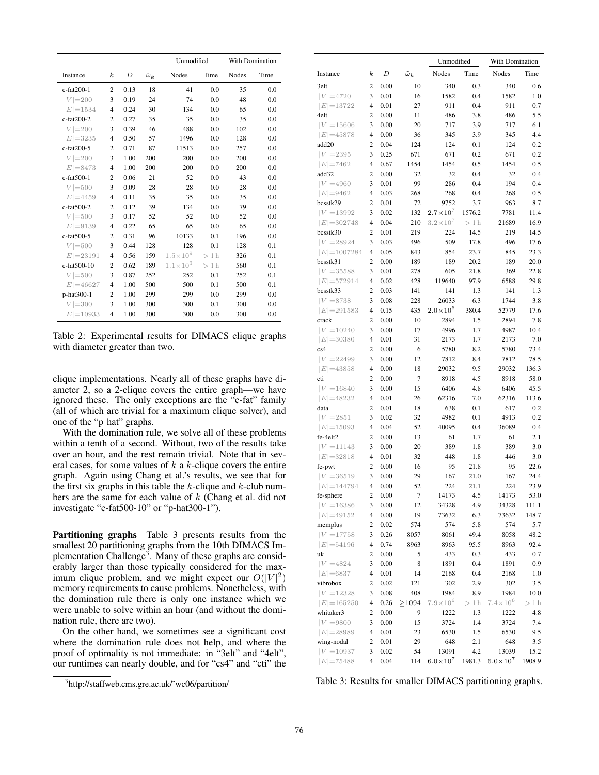|                  |                  |      |                    | Unmodified          |        | <b>With Domination</b> |      |
|------------------|------------------|------|--------------------|---------------------|--------|------------------------|------|
| Instance         | $\boldsymbol{k}$ | D    | $\tilde{\omega}_k$ | Nodes               | Time   | Nodes                  | Time |
| c-fat200-1       | $\overline{c}$   | 0.13 | 18                 | 41                  | 0.0    | 35                     | 0.0  |
| $ V =200$        | 3                | 0.19 | 24                 | 74                  | 0.0    | 48                     | 0.0  |
| $ E =1534$       | $\overline{4}$   | 0.24 | 30                 | 134                 | 0.0    | 65                     | 0.0  |
| c-fat200-2       | $\overline{2}$   | 0.27 | 35                 | 35                  | 0.0    | 35                     | 0.0  |
| $ V =200$        | 3                | 0.39 | 46                 | 488                 | 0.0    | 102                    | 0.0  |
| $ E =3235$       | $\overline{4}$   | 0.50 | 57                 | 1496                | 0.0    | 128                    | 0.0  |
| c-fat200-5       | $\overline{2}$   | 0.71 | 87                 | 11513               | 0.0    | 257                    | 0.0  |
| $ V =200$        | 3                | 1.00 | 200                | 200                 | 0.0    | 200                    | 0.0  |
| $ E =8473$       | 4                | 1.00 | 200                | 200                 | 0.0    | 200                    | 0.0  |
| c-fat500-1       | $\overline{2}$   | 0.06 | 21                 | 52                  | 0.0    | 43                     | 0.0  |
| $ V  = 500$      | 3                | 0.09 | 28                 | 28                  | 0.0    | 28                     | 0.0  |
| $ E =4459$       | 4                | 0.11 | 35                 | 35                  | 0.0    | 35                     | 0.0  |
| $c$ -fat $500-2$ | $\overline{2}$   | 0.12 | 39                 | 134                 | 0.0    | 79                     | 0.0  |
| $ V =500$        | 3                | 0.17 | 52                 | 52                  | 0.0    | 52                     | 0.0  |
| $ E =9139$       | 4                | 0.22 | 65                 | 65                  | 0.0    | 65                     | 0.0  |
| $c$ -fat $500-5$ | $\overline{2}$   | 0.31 | 96                 | 10133               | 0.1    | 196                    | 0.0  |
| $ V  = 500$      | 3                | 0.44 | 128                | 128                 | 0.1    | 128                    | 0.1  |
| $ E =23191$      | $\overline{4}$   | 0.56 | 159                | $1.5 \times 10^{9}$ | $>1$ h | 326                    | 0.1  |
| c-fat500-10      | $\overline{2}$   | 0.62 | 189                | $1.1 \times 10^{9}$ | $>1$ h | 560                    | 0.1  |
| $ V =500$        | 3                | 0.87 | 252                | 252                 | 0.1    | 252                    | 0.1  |
| $E = 46627$      | 4                | 1.00 | 500                | 500                 | 0.1    | 500                    | 0.1  |
| p-hat300-1       | $\overline{2}$   | 1.00 | 299                | 299                 | 0.0    | 299                    | 0.0  |
| $ V =300$        | 3                | 1.00 | 300                | 300                 | 0.1    | 300                    | 0.0  |
| $E  = 10933$     | $\overline{4}$   | 1.00 | 300                | 300                 | 0.0    | 300                    | 0.0  |

Table 2: Experimental results for DIMACS clique graphs with diameter greater than two.

clique implementations. Nearly all of these graphs have diameter 2, so a 2-clique covers the entire graph—we have ignored these. The only exceptions are the "c-fat" family (all of which are trivial for a maximum clique solver), and one of the "p hat" graphs.

With the domination rule, we solve all of these problems within a tenth of a second. Without, two of the results take over an hour, and the rest remain trivial. Note that in several cases, for some values of  $k$  a  $k$ -clique covers the entire graph. Again using Chang et al.'s results, we see that for the first six graphs in this table the  $k$ -clique and  $k$ -club numbers are the same for each value of  $k$  (Chang et al. did not investigate "c-fat500-10" or "p-hat300-1").

Partitioning graphs Table 3 presents results from the smallest 20 partitioning graphs from the 10th DIMACS Implementation Challenge<sup>3</sup>. Many of these graphs are considerably larger than those typically considered for the maximum clique problem, and we might expect our  $O(|V|^2)$ memory requirements to cause problems. Nonetheless, with the domination rule there is only one instance which we were unable to solve within an hour (and without the domination rule, there are two).

On the other hand, we sometimes see a significant cost where the domination rule does not help, and where the proof of optimality is not immediate: in "3elt" and "4elt", our runtimes can nearly double, and for "cs4" and "cti" the

|                 |                          |      |                    | Unmodified          |        | With Domination     |        |
|-----------------|--------------------------|------|--------------------|---------------------|--------|---------------------|--------|
| Instance        | $_{k}$                   | D    | $\tilde{\omega}_k$ | Nodes               | Time   | Nodes               | Time   |
| 3elt            | $\mathfrak{2}$           | 0.00 | 10                 | 340                 | 0.3    | 340                 | 0.6    |
| $ V  = 4720$    | 3                        | 0.01 | 16                 | 1582                | 0.4    | 1582                | 1.0    |
| $ E  = 13722$   | 4                        | 0.01 | 27                 | 911                 | 0.4    | 911                 | 0.7    |
| 4elt            | 2                        | 0.00 | 11                 | 486                 | 3.8    | 486                 | 5.5    |
| $ V  = 15606$   | 3                        | 0.00 | 20                 | 717                 | 3.9    | 717                 | 6.1    |
| $ E =45878$     | 4                        | 0.00 | 36                 | 345                 | 3.9    | 345                 | 4.4    |
| add20           | $\mathfrak{2}$           | 0.04 | 124                | 124                 | 0.1    | 124                 | 0.2    |
| $ V  = 2395$    | 3                        | 0.25 | 671                | 671                 | 0.2    | 671                 | 0.2    |
| $ E =7462$      | 4                        | 0.67 | 1454               | 1454                | 0.5    | 1454                | 0.5    |
| add32           | 2                        | 0.00 | 32                 | 32                  | 0.4    | 32                  | 0.4    |
| $ V  = 4960$    | 3                        | 0.01 | 99                 | 286                 | 0.4    | 194                 | 0.4    |
| $ E =9462$      | 4                        | 0.03 | 268                | 268                 | 0.4    | 268                 | 0.5    |
| bcsstk29        | 2                        | 0.01 | 72                 | 9752                | 3.7    | 963                 | 8.7    |
| $ V  = 13992$   | 3                        | 0.02 | 132                | $2.7{\times}10^7$   | 1576.2 | 7781                | 11.4   |
| $ E  = 302748$  | 4                        | 0.04 | 210                | $3.2\!\times\!10^7$ | $>1$ h | 21689               | 16.9   |
| bcsstk30        | 2                        | 0.01 | 219                | 224                 | 14.5   | 219                 | 14.5   |
| $ V  = 28924$   | 3                        | 0.03 | 496                | 509                 | 17.8   | 496                 | 17.6   |
| $ E  = 1007284$ | $\overline{4}$           | 0.05 | 843                | 854                 | 23.7   | 845                 | 23.3   |
| bcsstk31        | 2                        | 0.00 | 189                | 189                 | 20.2   | 189                 | 20.0   |
| $ V  = 35588$   | 3                        | 0.01 | 278                | 605                 | 21.8   | 369                 | 22.8   |
| $ E  = 572914$  | $\overline{4}$           | 0.02 | 428                | 119640              | 97.9   | 6588                | 29.8   |
| bcsstk33        | 2                        | 0.03 | 141                | 141                 | 1.3    | 141                 | 1.3    |
| $ V =8738$      | 3                        | 0.08 | 228                | 26033               | 6.3    | 1744                | 3.8    |
| $ E =291583$    | 4                        | 0.15 | 435                | $2.0\times10^{6}$   | 380.4  | 52779               | 17.6   |
| crack           | 2                        | 0.00 | 10                 | 2894                | 1.5    | 2894                | 7.8    |
| $ V  = 10240$   | 3                        | 0.00 | 17                 | 4996                | 1.7    | 4987                | 10.4   |
| $ E =30380$     | $\overline{4}$           | 0.01 | 31                 | 2173                | 1.7    | 2173                | 7.0    |
| cs4             | 2                        | 0.00 | 6                  | 5780                | 8.2    | 5780                | 73.4   |
| $ V  = 22499$   | 3                        | 0.00 | 12                 | 7812                | 8.4    | 7812                | 78.5   |
| $ E =43858$     | 4                        | 0.00 | 18                 | 29032               | 9.5    | 29032               | 136.3  |
| cti             | 2                        | 0.00 | 7                  | 8918                | 4.5    | 8918                | 58.0   |
| $ V  = 16840$   | 3                        | 0.00 | 15                 | 6406                | 4.8    | 6406                | 45.5   |
| $ E =48232$     | $\overline{4}$           | 0.01 | 26                 | 62316               | 7.0    | 62316               | 113.6  |
| data            | $\overline{c}$           | 0.01 | 18                 | 638                 | 0.1    | 617                 | 0.2    |
| $ V  = 2851$    | 3                        | 0.02 | 32                 | 4982                | 0.1    | 4913                | 0.2    |
| $ E  = 15093$   | $\overline{4}$           | 0.04 | 52                 | 40095               | 0.4    | 36089               | 0.4    |
| fe-4elt2        | 2                        | 0.00 | 13                 | 61                  | 1.7    | 61                  | 2.1    |
| $ V  = 11143$   | 3                        | 0.00 | 20                 | 389                 | 1.8    | 389                 | 3.0    |
| $ E =32818$     | $\overline{\mathcal{L}}$ | 0.01 | 32                 | 448                 | 1.8    | 446                 | 3.0    |
| fe-pwt          | 2                        | 0.00 | 16                 | 95                  | 21.8   | 95                  | 22.6   |
| $ V  = 36519$   | 3                        | 0.00 | 29                 | 167                 | 21.0   | 167                 | 24.4   |
| $ E =144794$    | $\overline{4}$           | 0.00 | 52                 | 224                 | 21.1   | 224                 | 23.9   |
| fe-sphere       | $\overline{\mathbf{c}}$  | 0.00 | $\tau$             | 14173               | 4.5    | 14173               | 53.0   |
| $ V  = 16386$   | 3                        | 0.00 | 12                 | 34328               | 4.9    | 34328               | 111.1  |
| $ E =49152$     | 4                        | 0.00 | 19                 | 73632               | 6.3    | 73632               | 148.7  |
| memplus         | 2                        | 0.02 | 574                | 574                 | 5.8    | 574                 | 5.7    |
| $ V  = 17758$   | 3                        | 0.26 | 8057               | 8061                | 49.4   | 8058                | 48.2   |
| $ E  = 54196$   | 4                        | 0.74 | 8963               | 8963                | 95.5   | 8963                | 92.4   |
| uk              | 2                        | 0.00 | 5                  | 433                 | 0.3    | 433                 | 0.7    |
| $ V  = 4824$    | 3                        | 0.00 | 8                  | 1891                | 0.4    | 1891                | 0.9    |
| $ E  = 6837$    | 4                        | 0.01 | 14                 | 2168                | 0.4    | 2168                | 1.0    |
| vibrobox        | 2                        | 0.02 | 121                | 302                 | 2.9    | 302                 | 3.5    |
| $ V  = 12328$   | 3                        | 0.08 | 408                | 1984                | 8.9    | 1984                | 10.0   |
| $ E  = 165250$  | 4                        | 0.26 | >1094              | $7.9 \times 10^{6}$ | $>1$ h | $7.4 \times 10^{6}$ | $>1$ h |
| whitaker3       | 2                        | 0.00 | 9                  | 1222                | 1.3    | 1222                | 4.8    |
| $ V =9800$      | 3                        | 0.00 | 15                 | 3724                | 1.4    | 3724                | 7.4    |
| $ E =28989$     | 4                        | 0.01 | 23                 | 6530                | 1.5    | 6530                | 9.5    |
| wing-nodal      | 2                        | 0.01 | 29                 | 648                 | 2.1    | 648                 | 3.5    |
| $ V  = 10937$   | 3                        | 0.02 | 54                 | 13091               | 4.2    | 13039               | 15.2   |
| $E  = 75488$    | 4                        | 0.04 | 114                | $6.0\times10^{7}$   | 1981.3 | $6.0\times10^{7}$   | 1908.9 |

Table 3: Results for smaller DIMACS partitioning graphs.

<sup>3</sup> http://staffweb.cms.gre.ac.uk/˜wc06/partition/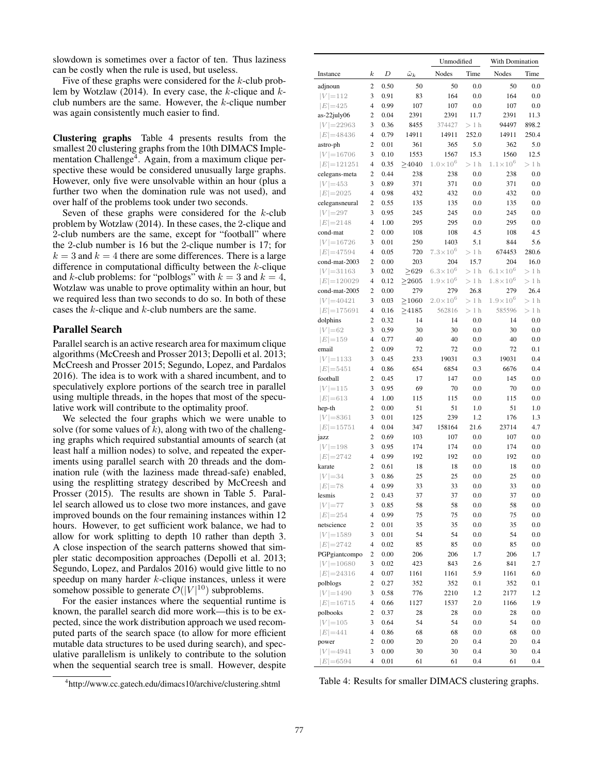slowdown is sometimes over a factor of ten. Thus laziness can be costly when the rule is used, but useless.

Five of these graphs were considered for the  $k$ -club problem by Wotzlaw (2014). In every case, the  $k$ -clique and  $k$ club numbers are the same. However, the  $k$ -clique number was again consistently much easier to find.

Clustering graphs Table 4 presents results from the smallest 20 clustering graphs from the 10th DIMACS Implementation Challenge<sup>4</sup>. Again, from a maximum clique perspective these would be considered unusually large graphs. However, only five were unsolvable within an hour (plus a further two when the domination rule was not used), and over half of the problems took under two seconds.

Seven of these graphs were considered for the  $k$ -club problem by Wotzlaw (2014). In these cases, the 2-clique and 2-club numbers are the same, except for "football" where the 2-club number is 16 but the 2-clique number is 17; for  $k = 3$  and  $k = 4$  there are some differences. There is a large difference in computational difficulty between the k-clique and k-club problems: for "polblogs" with  $k = 3$  and  $k = 4$ , Wotzlaw was unable to prove optimality within an hour, but we required less than two seconds to do so. In both of these cases the k-clique and k-club numbers are the same.

### Parallel Search

Parallel search is an active research area for maximum clique algorithms (McCreesh and Prosser 2013; Depolli et al. 2013; McCreesh and Prosser 2015; Segundo, Lopez, and Pardalos 2016). The idea is to work with a shared incumbent, and to speculatively explore portions of the search tree in parallel using multiple threads, in the hopes that most of the speculative work will contribute to the optimality proof.

We selected the four graphs which we were unable to solve (for some values of  $k$ ), along with two of the challenging graphs which required substantial amounts of search (at least half a million nodes) to solve, and repeated the experiments using parallel search with 20 threads and the domination rule (with the laziness made thread-safe) enabled, using the resplitting strategy described by McCreesh and Prosser (2015). The results are shown in Table 5. Parallel search allowed us to close two more instances, and gave improved bounds on the four remaining instances within 12 hours. However, to get sufficient work balance, we had to allow for work splitting to depth 10 rather than depth 3. A close inspection of the search patterns showed that simpler static decomposition approaches (Depolli et al. 2013; Segundo, Lopez, and Pardalos 2016) would give little to no speedup on many harder k-clique instances, unless it were somehow possible to generate  $\mathcal{O}(|V|^{10})$  subproblems.

For the easier instances where the sequential runtime is known, the parallel search did more work—this is to be expected, since the work distribution approach we used recomputed parts of the search space (to allow for more efficient mutable data structures to be used during search), and speculative parallelism is unlikely to contribute to the solution when the sequential search tree is small. However, despite

<sup>4</sup> http://www.cc.gatech.edu/dimacs10/archive/clustering.shtml

|                               |                                  |              |                    | Unmodified          |            | With Domination             |            |
|-------------------------------|----------------------------------|--------------|--------------------|---------------------|------------|-----------------------------|------------|
| Instance                      | $_{k}$                           | D            | $\tilde{\omega}_k$ | Nodes               | Time       | Nodes                       | Time       |
| adjnoun                       | 2                                | 0.50         | 50                 | 50                  | 0.0        | 50                          | 0.0        |
| $ V =112$                     | 3                                | 0.91         | 83                 | 164                 | 0.0        | 164                         | 0.0        |
| $ E =425$                     | $\overline{4}$                   | 0.99         | 107                | 107                 | 0.0        | 107                         | 0.0        |
| $as-22july06$                 | 2                                | 0.04         | 2391               | 2391                | 11.7       | 2391                        | 11.3       |
| $ V  = 22963$                 | 3                                | 0.36         | 8455               | 374427              | $>1$ h     | 94497                       | 898.2      |
| $ E =48436$                   | $\overline{4}$                   | 0.79         | 14911              | 14911               | 252.0      | 14911                       | 250.4      |
| astro-ph                      | 2                                | 0.01         | 361                | 365                 | 5.0        | 362                         | 5.0        |
| $ V  = 16706$                 | 3                                | 0.10         | 1553               | 1567                | 15.3       | 1560<br>$1.1 \times 10^{6}$ | 12.5       |
| $ E =121251$<br>celegans-meta | $\overline{4}$<br>2              | 0.35<br>0.44 | >4040              | $1.0 \times 10^{6}$ | $>1$ h     |                             | $>1$ h     |
| $ V  = 453$                   | 3                                | 0.89         | 238<br>371         | 238                 | 0.0<br>0.0 | 238<br>371                  | 0.0<br>0.0 |
| $ E =2025$                    | $\overline{4}$                   | 0.98         | 432                | 371<br>432          | 0.0        | 432                         | 0.0        |
| celegansneural                | 2                                | 0.55         | 135                | 135                 | 0.0        | 135                         | 0.0        |
| $ V  = 297$                   | 3                                | 0.95         | 245                | 245                 | 0.0        | 245                         | 0.0        |
| $ E =2148$                    | 4                                | 1.00         | 295                | 295                 | 0.0        | 295                         | 0.0        |
| cond-mat                      | 2                                | 0.00         | 108                | 108                 | 4.5        | 108                         | 4.5        |
| $ V  = 16726$                 | 3                                | 0.01         | 250                | 1403                | 5.1        | 844                         | 5.6        |
| $ E =47594$                   | $\overline{4}$                   | 0.05         | 720                | $7.3 \times 10^{6}$ | $>1$ h     | 674453                      | 280.6      |
| cond-mat-2003                 | 2                                | 0.00         | 203                | 204                 | 15.7       | 204                         | 16.0       |
| $ V  = 31163$                 | 3                                | 0.02         | >629               | $6.3 \times 10^{6}$ | $>1$ h     | $6.1 \times 10^{6}$         | $>1$ h     |
| $ E  = 120029$                | $\overline{4}$                   | 0.12         | >2605              | $1.9 \times 10^{6}$ | $>1$ h     | $1.8\times10^6$             | $>1$ h     |
| cond-mat-2005                 | 2                                | 0.00         | 279                | 279                 | 26.8       | 279                         | 26.4       |
| $ V  = 40421$                 | 3                                | 0.03         | >1060              | $2.0 \times 10^{6}$ | $>1$ h     | $1.9\!\times\!10^6$         | $>1$ h     |
| $ E  = 175691$                | $\overline{4}$                   | 0.16         | >4185              | 562816              | $>1$ h     | 585596                      | $>1$ h     |
| dolphins                      | 2                                | 0.32         | 14                 | 14                  | 0.0        | 14                          | 0.0        |
| $ V  = 62$                    | 3                                | 0.59         | 30                 | 30                  | 0.0        | 30                          | 0.0        |
| $ E =159$                     | $\overline{4}$                   | 0.77         | 40                 | 40                  | 0.0        | 40                          | 0.0        |
| email                         | 2                                | 0.09         | 72                 | 72                  | 0.0        | 72                          | 0.1        |
| $ V  = 1133$                  | 3                                | 0.45         | 233                | 19031               | 0.3        | 19031                       | 0.4        |
| $ E =5451$                    | $\overline{4}$<br>$\overline{c}$ | 0.86         | 654                | 6854                | 0.3        | 6676                        | 0.4        |
| football<br>$ V  = 115$       | 3                                | 0.45<br>0.95 | 17<br>69           | 147<br>70           | 0.0<br>0.0 | 145<br>70                   | 0.0<br>0.0 |
| $ E  = 613$                   | 4                                | 1.00         | 115                | 115                 | 0.0        | 115                         | 0.0        |
| hep-th                        | 2                                | 0.00         | 51                 | 51                  | 1.0        | 51                          | 1.0        |
| $ V  = 8361$                  | 3                                | 0.01         | 125                | 239                 | 1.2        | 176                         | 1.3        |
| $ E  = 15751$                 | $\overline{\mathcal{L}}$         | 0.04         | 347                | 158164              | 21.6       | 23714                       | 4.7        |
| jazz                          | $\overline{c}$                   | 0.69         | 103                | 107                 | 0.0        | 107                         | 0.0        |
| $ V  = 198$                   | 3                                | 0.95         | 174                | 174                 | 0.0        | 174                         | 0.0        |
| $ E =2742$                    | $\overline{4}$                   | 0.99         | 192                | 192                 | 0.0        | 192                         | 0.0        |
| karate                        | $\overline{c}$                   | 0.61         | 18                 | 18                  | 0.0        | 18                          | 0.0        |
| $ V =34$                      | 3                                | 0.86         | 25                 | 25                  | 0.0        | 25                          | 0.0        |
| $ E =78$                      | 4                                | 0.99         | 33                 | 33                  | 0.0        | 33                          | 0.0        |
| lesmis                        | 2                                | 0.43         | 37                 | 37                  | 0.0        | 37                          | 0.0        |
| $ V  = 77$                    | 3                                | 0.85         | 58                 | 58                  | $_{0.0}$   | 58                          | 0.0        |
| $ E =254$                     | 4                                | 0.99         | 75                 | 75                  | $_{0.0}$   | 75                          | 0.0        |
| netscience                    | $\mathbf{2}$                     | 0.01         | 35                 | 35                  | 0.0        | 35                          | 0.0        |
| $ V  = 1589$                  | 3                                | 0.01         | 54                 | 54                  | 0.0        | 54                          | 0.0        |
| $ E =2742$                    | 4                                | 0.02         | 85                 | 85                  | $_{0.0}$   | 85                          | 0.0        |
| PGPgiantcompo                 | $\mathbf{2}$                     | 0.00         | 206                | 206                 | 1.7        | 206                         | 1.7        |
| $ V  = 10680$                 | 3                                | 0.02         | 423                | 843                 | 2.6        | 841                         | 2.7        |
| $ E =24316$                   | $\overline{\mathcal{L}}$<br>2    | 0.07         | 1161               | 1161                | 5.9        | 1161                        | 6.0        |
| polblogs<br>$ V  = 1490$      | 3                                | 0.27<br>0.58 | 352<br>776         | 352<br>2210         | 0.1<br>1.2 | 352<br>2177                 | 0.1<br>1.2 |
| $ E  = 16715$                 | 4                                | 0.66         | 1127               | 1537                | 2.0        | 1166                        | 1.9        |
| polbooks                      | 2                                | 0.37         | 28                 | 28                  | $_{0.0}$   | 28                          | 0.0        |
| $ V  = 105$                   | 3                                | 0.64         | 54                 | 54                  | 0.0        | 54                          | 0.0        |
| $ E =441$                     | $\overline{\mathcal{L}}$         | 0.86         | 68                 | 68                  | $_{0.0}$   | 68                          | 0.0        |
| power                         | 2                                | 0.00         | 20                 | 20                  | 0.4        | 20                          | 0.4        |
| $ V  = 4941$                  | 3                                | 0.00         | 30                 | 30                  | 0.4        | 30                          | 0.4        |
| $ E  = 6594$                  | $\overline{\mathcal{L}}$         | 0.01         | 61                 | 61                  | 0.4        | 61                          | 0.4        |

Table 4: Results for smaller DIMACS clustering graphs.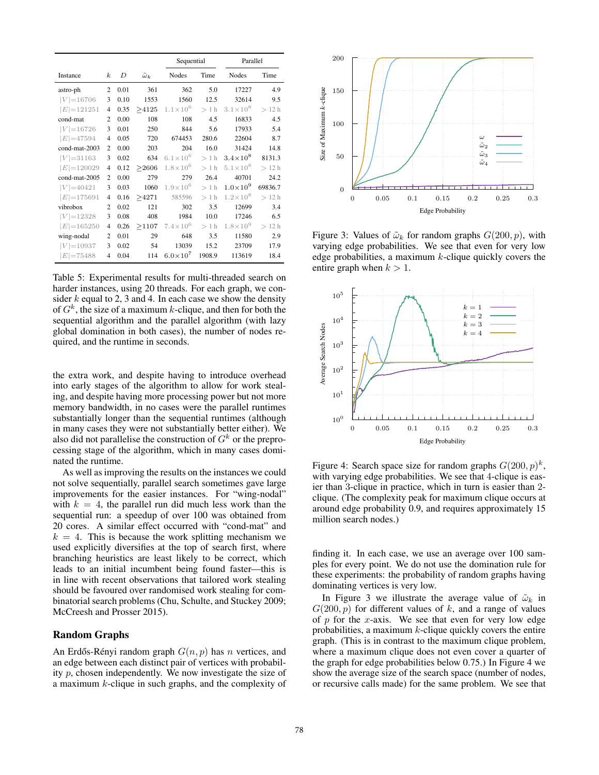|                |                  |      |                    |                     | Sequential |                     | Parallel |
|----------------|------------------|------|--------------------|---------------------|------------|---------------------|----------|
| Instance       | $\boldsymbol{k}$ | D    | $\tilde{\omega}_k$ | Nodes               | Time       | <b>Nodes</b>        | Time     |
| astro-ph       | 2                | 0.01 | 361                | 362                 | 5.0        | 17227               | 4.9      |
| $ V  = 16706$  | 3                | 0.10 | 1553               | 1560                | 12.5       | 32614               | 9.5      |
| $ E =121251$   | $\overline{4}$   | 0.35 | >4125              | $1.1 \times 10^{6}$ | $>1$ h     | $3.1 \times 10^8$   | >12h     |
| cond-mat       | $\overline{c}$   | 0.00 | 108                | 108                 | 4.5        | 16833               | 4.5      |
| $ V  = 16726$  | 3                | 0.01 | 250                | 844                 | 5.6        | 17933               | 5.4      |
| $ E =47594$    | 4                | 0.05 | 720                | 674453              | 280.6      | 22604               | 8.7      |
| cond-mat-2003  | 2                | 0.00 | 203                | 204                 | 16.0       | 31424               | 14.8     |
| $ V  = 31163$  | 3                | 0.02 | 634                | $6.1 \times 10^{6}$ | $>1$ h     | $3.4 \times 10^{8}$ | 8131.3   |
| $ E =120029$   | $\overline{4}$   | 0.12 | > 2606             | $1.8 \times 10^{6}$ | >1 h       | $5.1 \times 10^8$   | >12h     |
| cond-mat-2005  | $\mathfrak{D}$   | 0.00 | 279                | 279                 | 26.4       | 40701               | 24.2     |
| $ V  = 40421$  | 3                | 0.03 | 1060               | $1.9 \times 10^{6}$ | $>1$ h     | $1.0\times10^{9}$   | 69836.7  |
| $ E  = 175691$ | $\overline{4}$   | 0.16 | >4271              | 585596              | $>1$ h     | $1.2 \times 10^8$   | >12h     |
| vibrobox       | $\overline{c}$   | 0.02 | 121                | 302                 | 3.5        | 12699               | 3.4      |
| $ V  = 12328$  | 3                | 0.08 | 408                | 1984                | 10.0       | 17246               | 6.5      |
| $ E  = 165250$ | $\overline{4}$   | 0.26 | >1107              | $7.4 \times 10^{6}$ | $>1$ h     | $1.8 \times 10^{9}$ | >12h     |
| wing-nodal     | $\overline{c}$   | 0.01 | 29                 | 648                 | 3.5        | 11580               | 2.9      |
| $ V  = 10937$  | 3                | 0.02 | 54                 | 13039               | 15.2       | 23709               | 17.9     |
| $E  = 75488$   | 4                | 0.04 | 114                | $6.0\times10^{7}$   | 1908.9     | 113619              | 18.4     |

Table 5: Experimental results for multi-threaded search on harder instances, using 20 threads. For each graph, we consider  $k$  equal to 2, 3 and 4. In each case we show the density of  $G<sup>k</sup>$ , the size of a maximum k-clique, and then for both the sequential algorithm and the parallel algorithm (with lazy global domination in both cases), the number of nodes required, and the runtime in seconds.

the extra work, and despite having to introduce overhead into early stages of the algorithm to allow for work stealing, and despite having more processing power but not more memory bandwidth, in no cases were the parallel runtimes substantially longer than the sequential runtimes (although in many cases they were not substantially better either). We also did not parallelise the construction of  $G<sup>k</sup>$  or the preprocessing stage of the algorithm, which in many cases dominated the runtime.

As well as improving the results on the instances we could not solve sequentially, parallel search sometimes gave large improvements for the easier instances. For "wing-nodal" with  $k = 4$ , the parallel run did much less work than the sequential run: a speedup of over 100 was obtained from 20 cores. A similar effect occurred with "cond-mat" and  $k = 4$ . This is because the work splitting mechanism we used explicitly diversifies at the top of search first, where branching heuristics are least likely to be correct, which leads to an initial incumbent being found faster—this is in line with recent observations that tailored work stealing should be favoured over randomised work stealing for combinatorial search problems (Chu, Schulte, and Stuckey 2009; McCreesh and Prosser 2015).

### Random Graphs

An Erdős-Rényi random graph  $G(n, p)$  has n vertices, and an edge between each distinct pair of vertices with probability p, chosen independently. We now investigate the size of a maximum k-clique in such graphs, and the complexity of



Figure 3: Values of  $\tilde{\omega}_k$  for random graphs  $G(200, p)$ , with varying edge probabilities. We see that even for very low edge probabilities, a maximum  $k$ -clique quickly covers the entire graph when  $k > 1$ .



Figure 4: Search space size for random graphs  $G(200, p)^k$ , with varying edge probabilities. We see that 4-clique is easier than 3-clique in practice, which in turn is easier than 2 clique. (The complexity peak for maximum clique occurs at around edge probability 0.9, and requires approximately 15 million search nodes.)

finding it. In each case, we use an average over 100 samples for every point. We do not use the domination rule for these experiments: the probability of random graphs having dominating vertices is very low.

In Figure 3 we illustrate the average value of  $\tilde{\omega}_k$  in  $G(200, p)$  for different values of k, and a range of values of  $p$  for the x-axis. We see that even for very low edge probabilities, a maximum  $k$ -clique quickly covers the entire graph. (This is in contrast to the maximum clique problem, where a maximum clique does not even cover a quarter of the graph for edge probabilities below 0.75.) In Figure 4 we show the average size of the search space (number of nodes, or recursive calls made) for the same problem. We see that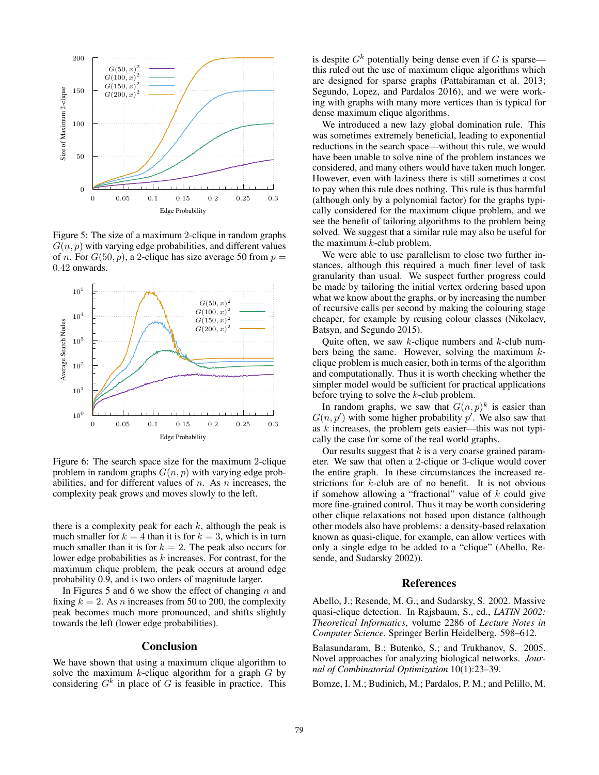

Figure 5: The size of a maximum 2-clique in random graphs  $G(n, p)$  with varying edge probabilities, and different values of n. For  $G(50, p)$ , a 2-clique has size average 50 from  $p =$ 0.42 onwards.



Figure 6: The search space size for the maximum 2-clique problem in random graphs  $G(n, p)$  with varying edge probabilities, and for different values of  $n$ . As  $n$  increases, the complexity peak grows and moves slowly to the left.

there is a complexity peak for each  $k$ , although the peak is much smaller for  $k = 4$  than it is for  $k = 3$ , which is in turn much smaller than it is for  $k = 2$ . The peak also occurs for lower edge probabilities as k increases. For contrast, for the maximum clique problem, the peak occurs at around edge probability 0.9, and is two orders of magnitude larger.

In Figures 5 and 6 we show the effect of changing  $n$  and fixing  $k = 2$ . As *n* increases from 50 to 200, the complexity peak becomes much more pronounced, and shifts slightly towards the left (lower edge probabilities).

# **Conclusion**

We have shown that using a maximum clique algorithm to solve the maximum  $k$ -clique algorithm for a graph  $G$  by considering  $G<sup>k</sup>$  in place of G is feasible in practice. This is despite  $G<sup>k</sup>$  potentially being dense even if G is sparse this ruled out the use of maximum clique algorithms which are designed for sparse graphs (Pattabiraman et al. 2013; Segundo, Lopez, and Pardalos 2016), and we were working with graphs with many more vertices than is typical for dense maximum clique algorithms.

We introduced a new lazy global domination rule. This was sometimes extremely beneficial, leading to exponential reductions in the search space—without this rule, we would have been unable to solve nine of the problem instances we considered, and many others would have taken much longer. However, even with laziness there is still sometimes a cost to pay when this rule does nothing. This rule is thus harmful (although only by a polynomial factor) for the graphs typically considered for the maximum clique problem, and we see the benefit of tailoring algorithms to the problem being solved. We suggest that a similar rule may also be useful for the maximum  $k$ -club problem.

We were able to use parallelism to close two further instances, although this required a much finer level of task granularity than usual. We suspect further progress could be made by tailoring the initial vertex ordering based upon what we know about the graphs, or by increasing the number of recursive calls per second by making the colouring stage cheaper, for example by reusing colour classes (Nikolaev, Batsyn, and Segundo 2015).

Quite often, we saw  $k$ -clique numbers and  $k$ -club numbers being the same. However, solving the maximum  $k$ clique problem is much easier, both in terms of the algorithm and computationally. Thus it is worth checking whether the simpler model would be sufficient for practical applications before trying to solve the k-club problem.

In random graphs, we saw that  $G(n, p)^k$  is easier than  $G(n, p')$  with some higher probability  $p'$ . We also saw that as k increases, the problem gets easier—this was not typically the case for some of the real world graphs.

Our results suggest that  $k$  is a very coarse grained parameter. We saw that often a 2-clique or 3-clique would cover the entire graph. In these circumstances the increased restrictions for  $k$ -club are of no benefit. It is not obvious if somehow allowing a "fractional" value of  $k$  could give more fine-grained control. Thus it may be worth considering other clique relaxations not based upon distance (although other models also have problems: a density-based relaxation known as quasi-clique, for example, can allow vertices with only a single edge to be added to a "clique" (Abello, Resende, and Sudarsky 2002)).

### References

Abello, J.; Resende, M. G.; and Sudarsky, S. 2002. Massive quasi-clique detection. In Rajsbaum, S., ed., *LATIN 2002: Theoretical Informatics*, volume 2286 of *Lecture Notes in Computer Science*. Springer Berlin Heidelberg. 598–612.

Balasundaram, B.; Butenko, S.; and Trukhanov, S. 2005. Novel approaches for analyzing biological networks. *Journal of Combinatorial Optimization* 10(1):23–39.

Bomze, I. M.; Budinich, M.; Pardalos, P. M.; and Pelillo, M.